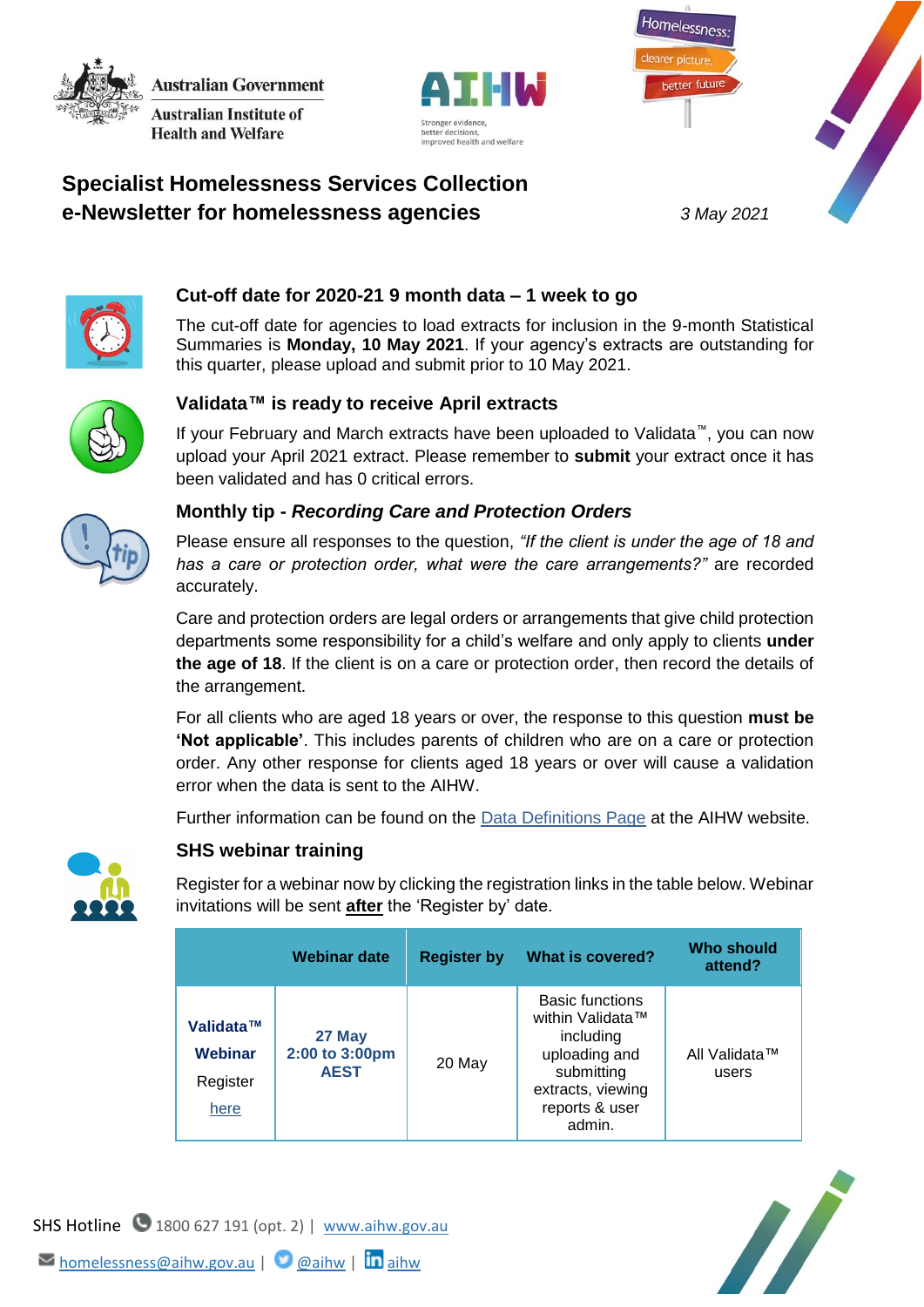**Australian Government Australian Institute of** 

**Health and Welfare** 

**Specialist Homelessness Services Collection** 







## **Cut-off date for 2020-21 9 month data – 1 week to go**

The cut-off date for agencies to load extracts for inclusion in the 9-month Statistical Summaries is **Monday, 10 May 2021**. If your agency's extracts are outstanding for this quarter, please upload and submit prior to 10 May 2021.



## **Validata™ is ready to receive April extracts**

If your February and March extracts have been uploaded to Validata™, you can now upload your April 2021 extract. Please remember to **submit** your extract once it has been validated and has 0 critical errors.



## **Monthly tip -** *Recording Care and Protection Orders*

Please ensure all responses to the question, *"If the client is under the age of 18 and has a care or protection order, what were the care arrangements?"* are recorded accurately.

Care and protection orders are legal orders or arrangements that give child protection departments some responsibility for a child's welfare and only apply to clients **under the age of 18**. If the client is on a care or protection order, then record the details of the arrangement.

For all clients who are aged 18 years or over, the response to this question **must be 'Not applicable'**. This includes parents of children who are on a care or protection order. Any other response for clients aged 18 years or over will cause a validation error when the data is sent to the AIHW.

Further information can be found on the [Data Definitions Page](https://www.aihw.gov.au/about-our-data/our-data-collections/specialist-homelessness-services-collection/shs-data-definitions) at the AIHW website.



## **SHS webinar training**

Register for a webinar now by clicking the registration links in the table below. Webinar invitations will be sent **after** the 'Register by' date.

|                                          | Webinar date                            | <b>Register by</b> | What is covered?                                                                                                                        | <b>Who should</b><br>attend? |
|------------------------------------------|-----------------------------------------|--------------------|-----------------------------------------------------------------------------------------------------------------------------------------|------------------------------|
| Validata™<br>Webinar<br>Register<br>here | 27 May<br>2:00 to 3:00pm<br><b>AEST</b> | 20 May             | <b>Basic functions</b><br>within Validata™<br>including<br>uploading and<br>submitting<br>extracts, viewing<br>reports & user<br>admin. | All Validata™<br>users       |





M[homelessness@aihw.gov.au](mailto:homelessness@aihw.gov.au) | **@**[aihw](https://www.linkedin.com/company/australian-institute-of-health-and-welfare/) | **in** aihw